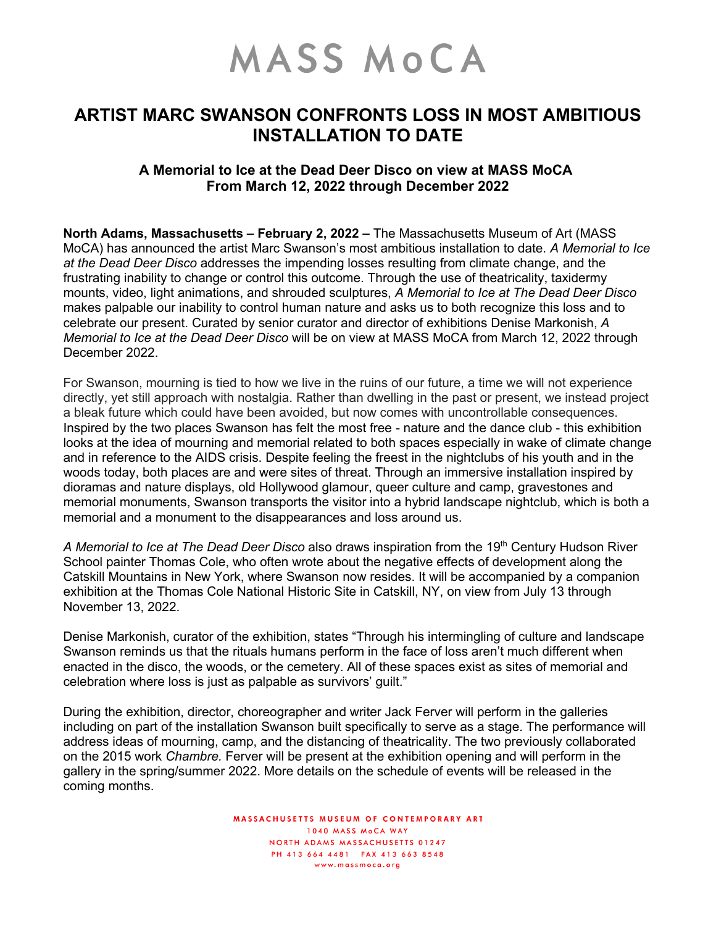## MASS MOCA

## **ARTIST MARC SWANSON CONFRONTS LOSS IN MOST AMBITIOUS INSTALLATION TO DATE**

## **A Memorial to Ice at the Dead Deer Disco on view at MASS MoCA From March 12, 2022 through December 2022**

**North Adams, Massachusetts – February 2, 2022 –** The Massachusetts Museum of Art (MASS MoCA) has announced the artist Marc Swanson's most ambitious installation to date. *A Memorial to Ice at the Dead Deer Disco* addresses the impending losses resulting from climate change, and the frustrating inability to change or control this outcome. Through the use of theatricality, taxidermy mounts, video, light animations, and shrouded sculptures, *A Memorial to Ice at The Dead Deer Disco* makes palpable our inability to control human nature and asks us to both recognize this loss and to celebrate our present. Curated by senior curator and director of exhibitions Denise Markonish, *A Memorial to Ice at the Dead Deer Disco* will be on view at MASS MoCA from March 12, 2022 through December 2022.

For Swanson, mourning is tied to how we live in the ruins of our future, a time we will not experience directly, yet still approach with nostalgia. Rather than dwelling in the past or present, we instead project a bleak future which could have been avoided, but now comes with uncontrollable consequences. Inspired by the two places Swanson has felt the most free - nature and the dance club - this exhibition looks at the idea of mourning and memorial related to both spaces especially in wake of climate change and in reference to the AIDS crisis. Despite feeling the freest in the nightclubs of his youth and in the woods today, both places are and were sites of threat. Through an immersive installation inspired by dioramas and nature displays, old Hollywood glamour, queer culture and camp, gravestones and memorial monuments, Swanson transports the visitor into a hybrid landscape nightclub, which is both a memorial and a monument to the disappearances and loss around us.

A Memorial to Ice at The Dead Deer Disco also draws inspiration from the 19<sup>th</sup> Century Hudson River School painter Thomas Cole, who often wrote about the negative effects of development along the Catskill Mountains in New York, where Swanson now resides. It will be accompanied by a companion exhibition at the Thomas Cole National Historic Site in Catskill, NY, on view from July 13 through November 13, 2022.

Denise Markonish, curator of the exhibition, states "Through his intermingling of culture and landscape Swanson reminds us that the rituals humans perform in the face of loss aren't much different when enacted in the disco, the woods, or the cemetery. All of these spaces exist as sites of memorial and celebration where loss is just as palpable as survivors' guilt."

During the exhibition, director, choreographer and writer Jack Ferver will perform in the galleries including on part of the installation Swanson built specifically to serve as a stage. The performance will address ideas of mourning, camp, and the distancing of theatricality. The two previously collaborated on the 2015 work *Chambre.* Ferver will be present at the exhibition opening and will perform in the gallery in the spring/summer 2022. More details on the schedule of events will be released in the coming months.

> MASSACHUSETTS MUSEUM OF CONTEMPORARY ART 1040 MASS MOCA WAY NORTH ADAMS MASSACHUSETTS 01247 PH 413 664 4481 FAX 413 663 8548 www.massmoca.org